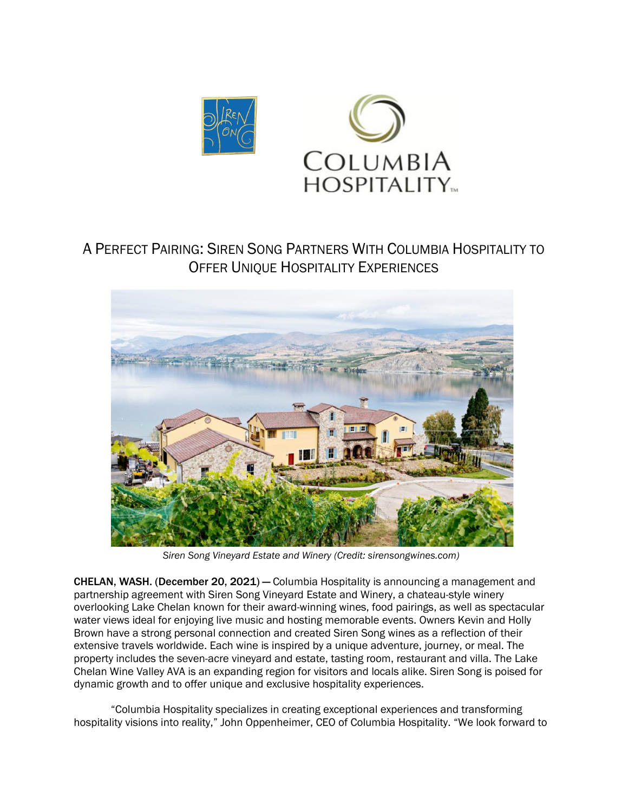

## A PERFECT PAIRING: SIREN SONG PARTNERS WITH COLUMBIA HOSPITALITY TO OFFER UNIQUE HOSPITALITY EXPERIENCES



*Siren Song Vineyard Estate and Winery (Credit: sirensongwines.com)*

CHELAN, WASH. (December 20, 2021) — Columbia Hospitality is announcing a management and partnership agreement with Siren Song Vineyard Estate and Winery, a chateau-style winery overlooking Lake Chelan known for their award-winning wines, food pairings, as well as spectacular water views ideal for enjoying live music and hosting memorable events. Owners Kevin and Holly Brown have a strong personal connection and created Siren Song wines as a reflection of their extensive travels worldwide. Each wine is inspired by a unique adventure, journey, or meal. The property includes the seven-acre vineyard and estate, tasting room, restaurant and villa. The Lake Chelan Wine Valley AVA is an expanding region for visitors and locals alike. Siren Song is poised for dynamic growth and to offer unique and exclusive hospitality experiences.

"Columbia Hospitality specializes in creating exceptional experiences and transforming hospitality visions into reality," John Oppenheimer, CEO of Columbia Hospitality. "We look forward to